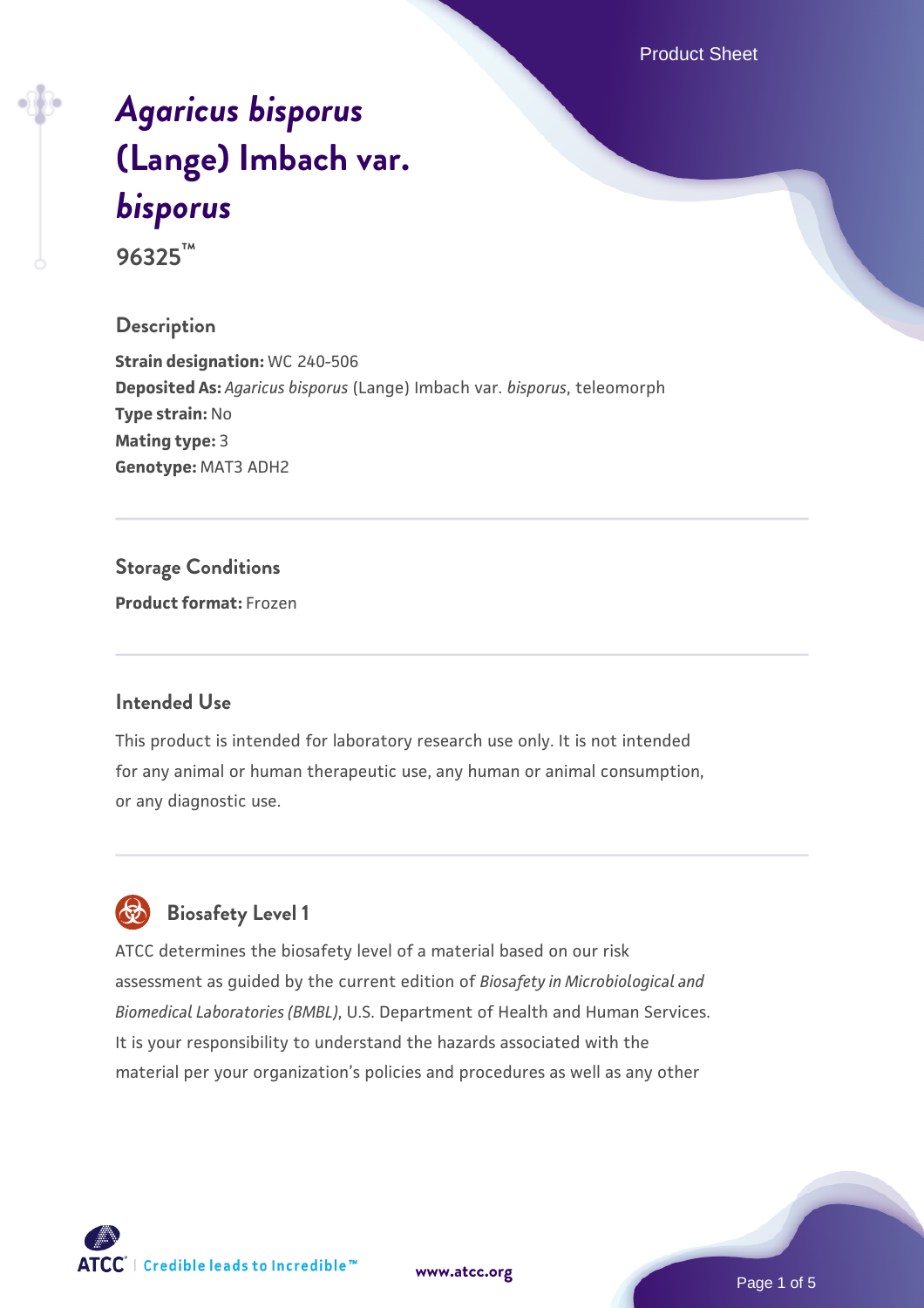Product Sheet

# *[Agaricus bisporus](https://www.atcc.org/products/96325)* **[\(Lange\) Imbach var.](https://www.atcc.org/products/96325)** *[bisporus](https://www.atcc.org/products/96325)*

**96325™**

### **Description**

**Strain designation:** WC 240-506 **Deposited As:** *Agaricus bisporus* (Lange) Imbach var. *bisporus*, teleomorph **Type strain:** No **Mating type:** 3 **Genotype:** MAT3 ADH2

### **Storage Conditions**

**Product format:** Frozen

### **Intended Use**

This product is intended for laboratory research use only. It is not intended for any animal or human therapeutic use, any human or animal consumption, or any diagnostic use.



### **Biosafety Level 1**

ATCC determines the biosafety level of a material based on our risk assessment as guided by the current edition of *Biosafety in Microbiological and Biomedical Laboratories (BMBL)*, U.S. Department of Health and Human Services. It is your responsibility to understand the hazards associated with the material per your organization's policies and procedures as well as any other

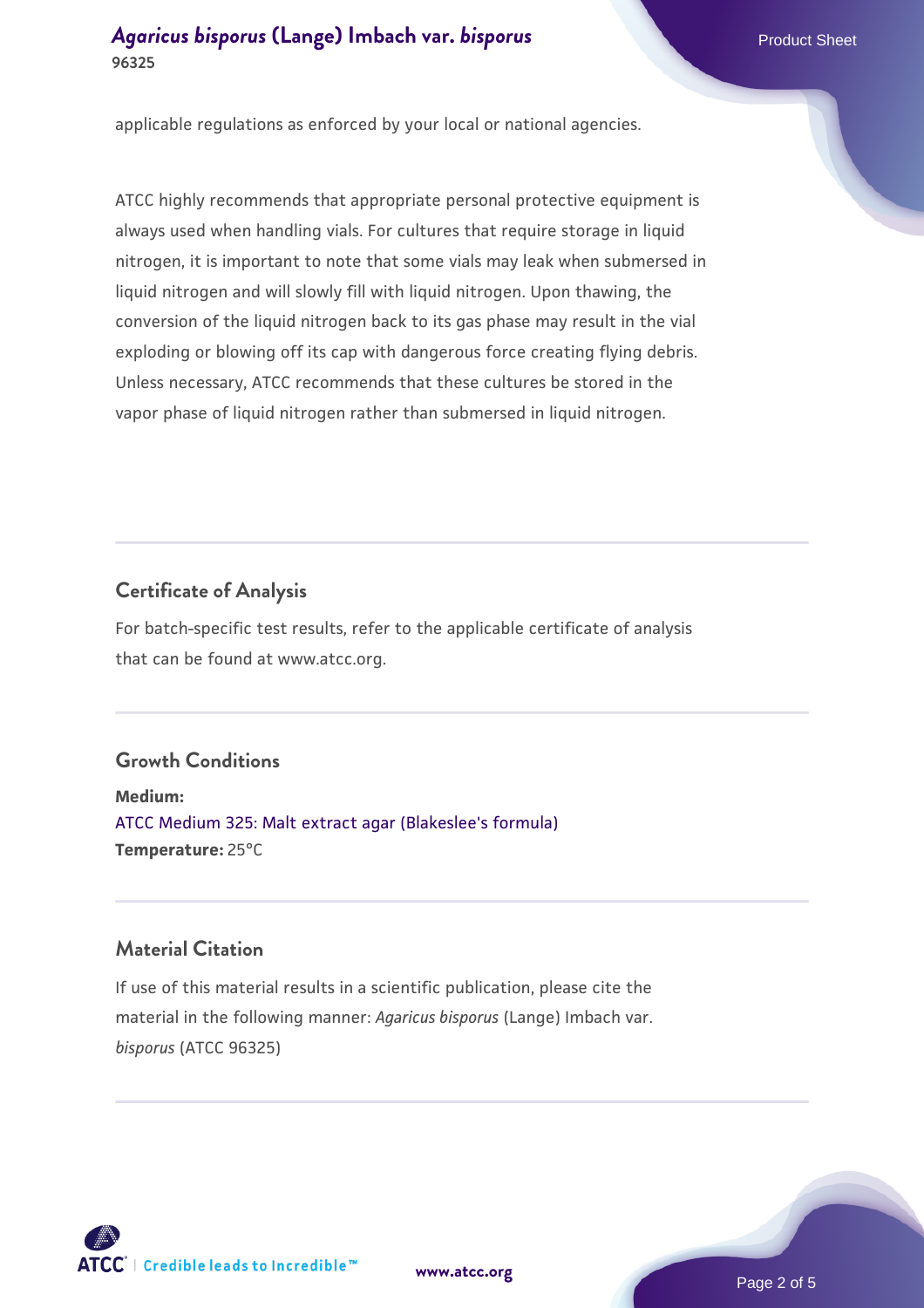### **[Agaricus bisporus](https://www.atcc.org/products/96325) [\(Lange\) Imbach var.](https://www.atcc.org/products/96325) [bisporus](https://www.atcc.org/products/96325)** Product Sheet **96325**

applicable regulations as enforced by your local or national agencies.

ATCC highly recommends that appropriate personal protective equipment is always used when handling vials. For cultures that require storage in liquid nitrogen, it is important to note that some vials may leak when submersed in liquid nitrogen and will slowly fill with liquid nitrogen. Upon thawing, the conversion of the liquid nitrogen back to its gas phase may result in the vial exploding or blowing off its cap with dangerous force creating flying debris. Unless necessary, ATCC recommends that these cultures be stored in the vapor phase of liquid nitrogen rather than submersed in liquid nitrogen.

### **Certificate of Analysis**

For batch-specific test results, refer to the applicable certificate of analysis that can be found at www.atcc.org.

### **Growth Conditions**

**Medium:**  [ATCC Medium 325: Malt extract agar \(Blakeslee's formula\)](https://www.atcc.org/-/media/product-assets/documents/microbial-media-formulations/3/2/5/atcc-medium-325.pdf?rev=146ec77015184a96912232dcb12386f9) **Temperature:** 25°C

### **Material Citation**

If use of this material results in a scientific publication, please cite the material in the following manner: *Agaricus bisporus* (Lange) Imbach var. *bisporus* (ATCC 96325)



**[www.atcc.org](http://www.atcc.org)**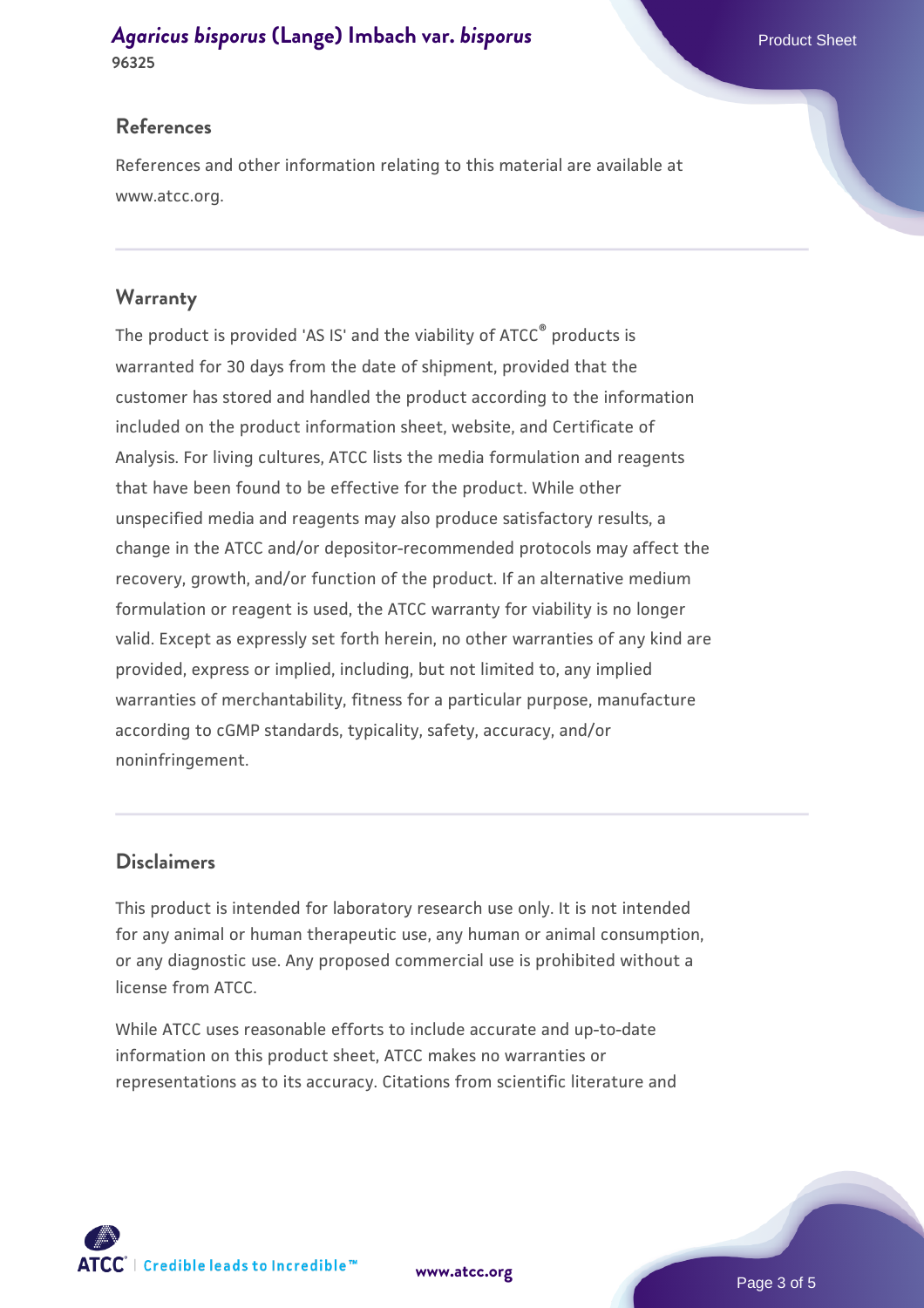### *[Agaricus bisporus](https://www.atcc.org/products/96325)* **[\(Lange\) Imbach var.](https://www.atcc.org/products/96325)** *[bisporus](https://www.atcc.org/products/96325)* **Product Sheet Product Sheet 96325**

### **References**

References and other information relating to this material are available at www.atcc.org.

### **Warranty**

The product is provided 'AS IS' and the viability of ATCC® products is warranted for 30 days from the date of shipment, provided that the customer has stored and handled the product according to the information included on the product information sheet, website, and Certificate of Analysis. For living cultures, ATCC lists the media formulation and reagents that have been found to be effective for the product. While other unspecified media and reagents may also produce satisfactory results, a change in the ATCC and/or depositor-recommended protocols may affect the recovery, growth, and/or function of the product. If an alternative medium formulation or reagent is used, the ATCC warranty for viability is no longer valid. Except as expressly set forth herein, no other warranties of any kind are provided, express or implied, including, but not limited to, any implied warranties of merchantability, fitness for a particular purpose, manufacture according to cGMP standards, typicality, safety, accuracy, and/or noninfringement.

### **Disclaimers**

This product is intended for laboratory research use only. It is not intended for any animal or human therapeutic use, any human or animal consumption, or any diagnostic use. Any proposed commercial use is prohibited without a license from ATCC.

While ATCC uses reasonable efforts to include accurate and up-to-date information on this product sheet, ATCC makes no warranties or representations as to its accuracy. Citations from scientific literature and

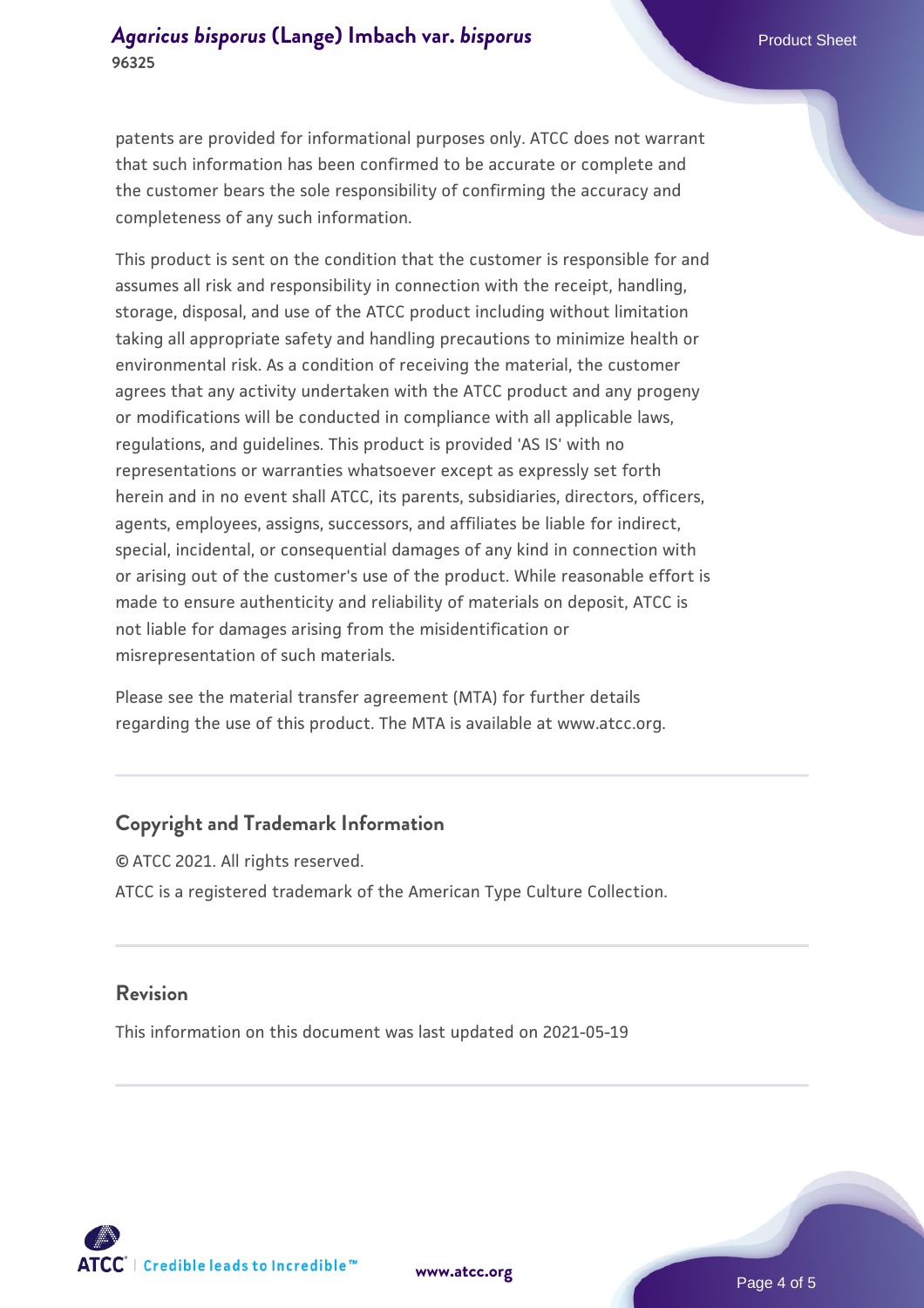### *[Agaricus bisporus](https://www.atcc.org/products/96325)* **[\(Lange\) Imbach var.](https://www.atcc.org/products/96325)** *[bisporus](https://www.atcc.org/products/96325)* **Product Sheet Product Sheet 96325**

patents are provided for informational purposes only. ATCC does not warrant that such information has been confirmed to be accurate or complete and the customer bears the sole responsibility of confirming the accuracy and completeness of any such information.

This product is sent on the condition that the customer is responsible for and assumes all risk and responsibility in connection with the receipt, handling, storage, disposal, and use of the ATCC product including without limitation taking all appropriate safety and handling precautions to minimize health or environmental risk. As a condition of receiving the material, the customer agrees that any activity undertaken with the ATCC product and any progeny or modifications will be conducted in compliance with all applicable laws, regulations, and guidelines. This product is provided 'AS IS' with no representations or warranties whatsoever except as expressly set forth herein and in no event shall ATCC, its parents, subsidiaries, directors, officers, agents, employees, assigns, successors, and affiliates be liable for indirect, special, incidental, or consequential damages of any kind in connection with or arising out of the customer's use of the product. While reasonable effort is made to ensure authenticity and reliability of materials on deposit, ATCC is not liable for damages arising from the misidentification or misrepresentation of such materials.

Please see the material transfer agreement (MTA) for further details regarding the use of this product. The MTA is available at www.atcc.org.

### **Copyright and Trademark Information**

© ATCC 2021. All rights reserved. ATCC is a registered trademark of the American Type Culture Collection.

### **Revision**

This information on this document was last updated on 2021-05-19



**[www.atcc.org](http://www.atcc.org)**